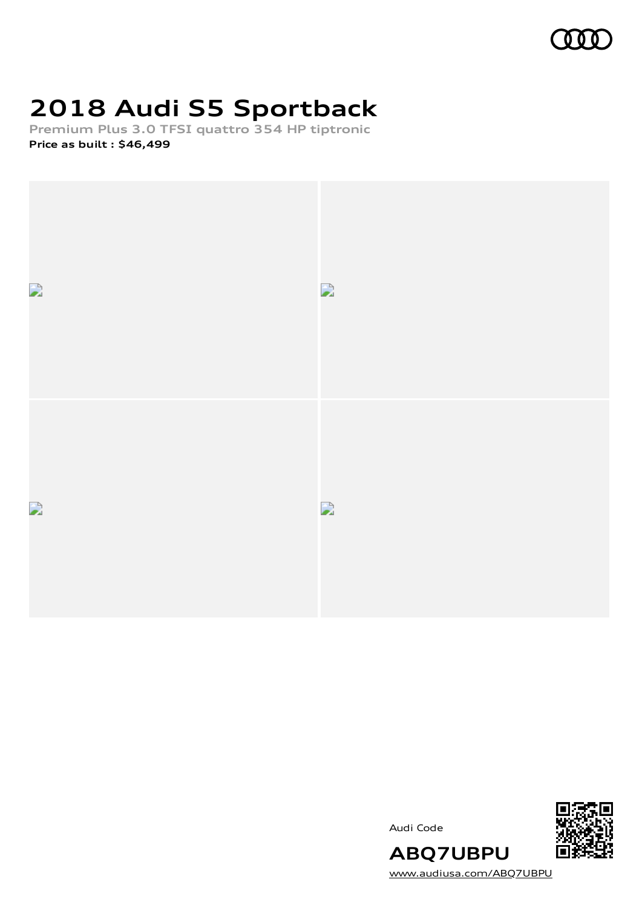# **2018 Audi S5 Sportback**

**Premium Plus 3.0 TFSI quattro 354 HP tiptronic Price as built [:](#page-8-0) \$46,499**



Audi Code



[www.audiusa.com/ABQ7UBPU](https://www.audiusa.com/ABQ7UBPU)

**ABQ7UBPU**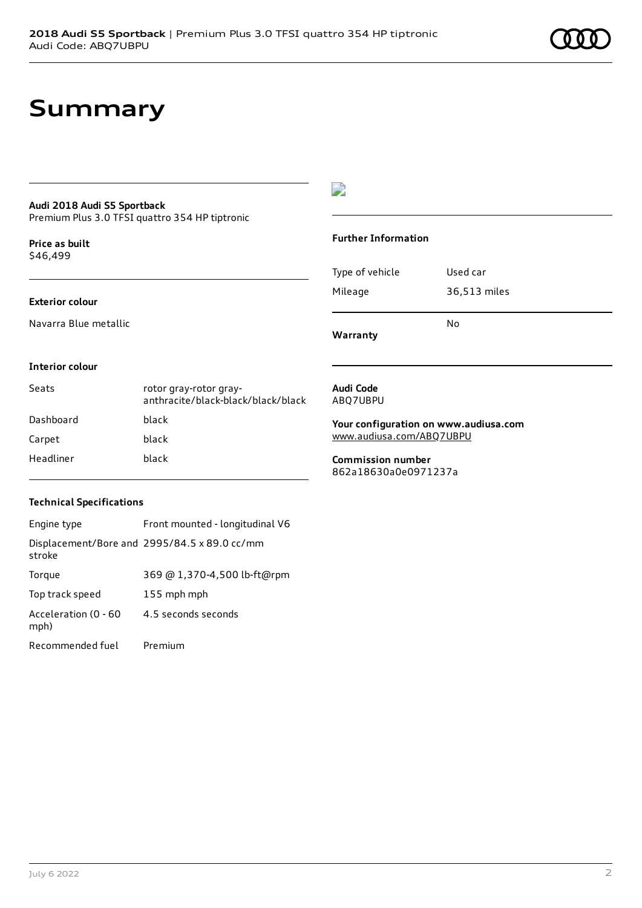## **Summary**

### **Audi 2018 Audi S5 Sportback**

Premium Plus 3.0 TFSI quattro 354 HP tiptronic

**Price as buil[t](#page-8-0)** \$46,499

#### **Exterior colour**

Navarra Blue metallic

### $\overline{\phantom{a}}$

#### **Further Information**

| Warranty        |              |
|-----------------|--------------|
|                 | N٥           |
| Mileage         | 36,513 miles |
| Type of vehicle | Used car     |

#### **Interior colour**

| Seats     | rotor gray-rotor gray-<br>anthracite/black-black/black/black |
|-----------|--------------------------------------------------------------|
| Dashboard | black                                                        |
| Carpet    | black                                                        |
| Headliner | black                                                        |

#### **Audi Code** ABQ7UBPU

**Your configuration on www.audiusa.com** [www.audiusa.com/ABQ7UBPU](https://www.audiusa.com/ABQ7UBPU)

**Commission number** 862a18630a0e0971237a

#### **Technical Specifications**

| Engine type                  | Front mounted - longitudinal V6              |
|------------------------------|----------------------------------------------|
| stroke                       | Displacement/Bore and 2995/84.5 x 89.0 cc/mm |
| Torque                       | 369 @ 1,370-4,500 lb-ft@rpm                  |
| Top track speed              | 155 mph mph                                  |
| Acceleration (0 - 60<br>mph) | 4.5 seconds seconds                          |
| Recommended fuel             | Premium                                      |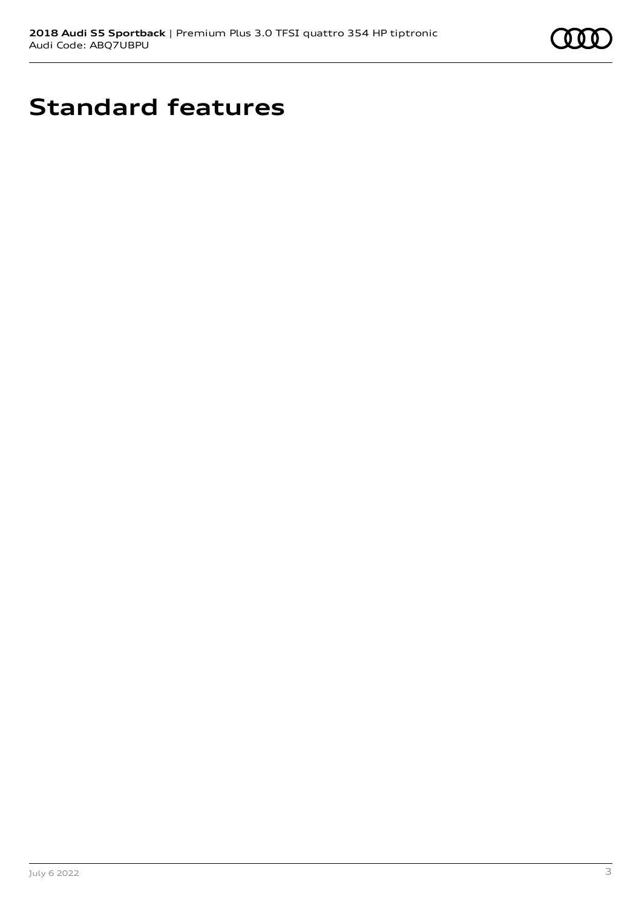

# **Standard features**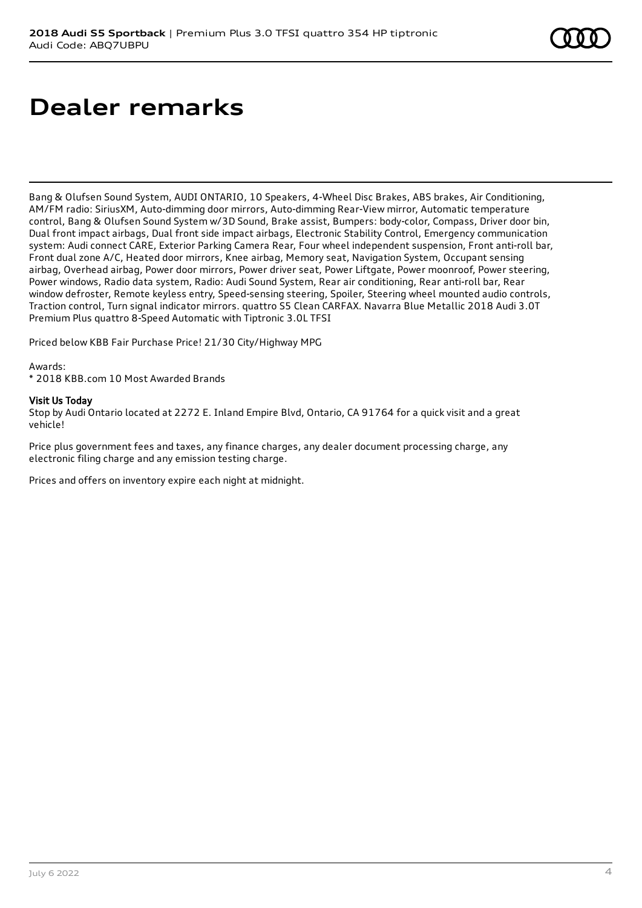# **Dealer remarks**

Bang & Olufsen Sound System, AUDI ONTARIO, 10 Speakers, 4-Wheel Disc Brakes, ABS brakes, Air Conditioning, AM/FM radio: SiriusXM, Auto-dimming door mirrors, Auto-dimming Rear-View mirror, Automatic temperature control, Bang & Olufsen Sound System w/3D Sound, Brake assist, Bumpers: body-color, Compass, Driver door bin, Dual front impact airbags, Dual front side impact airbags, Electronic Stability Control, Emergency communication system: Audi connect CARE, Exterior Parking Camera Rear, Four wheel independent suspension, Front anti-roll bar, Front dual zone A/C, Heated door mirrors, Knee airbag, Memory seat, Navigation System, Occupant sensing airbag, Overhead airbag, Power door mirrors, Power driver seat, Power Liftgate, Power moonroof, Power steering, Power windows, Radio data system, Radio: Audi Sound System, Rear air conditioning, Rear anti-roll bar, Rear window defroster, Remote keyless entry, Speed-sensing steering, Spoiler, Steering wheel mounted audio controls, Traction control, Turn signal indicator mirrors. quattro S5 Clean CARFAX. Navarra Blue Metallic 2018 Audi 3.0T Premium Plus quattro 8-Speed Automatic with Tiptronic 3.0L TFSI

Priced below KBB Fair Purchase Price! 21/30 City/Highway MPG

#### Awards:

\* 2018 KBB.com 10 Most Awarded Brands

#### Visit Us Today

Stop by Audi Ontario located at 2272 E. Inland Empire Blvd, Ontario, CA 91764 for a quick visit and a great vehicle!

Price plus government fees and taxes, any finance charges, any dealer document processing charge, any electronic filing charge and any emission testing charge.

Prices and offers on inventory expire each night at midnight.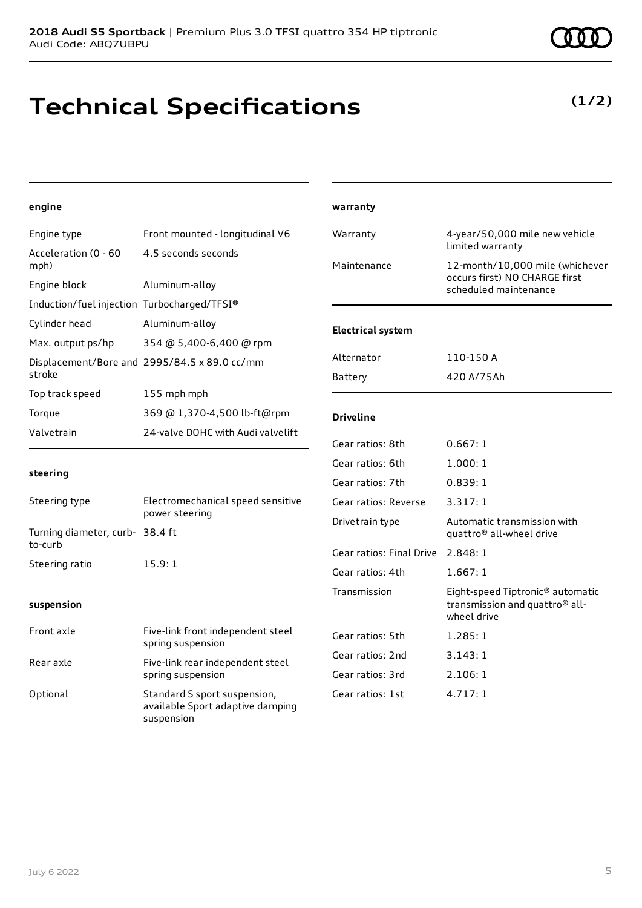# **Technical Specifications**

#### **engine**

| Engine type                                 | Front mounted - longitudinal V6                                                | Warranty                          | 4-year/50,000 mile new vehicle<br>limited warranty                                |
|---------------------------------------------|--------------------------------------------------------------------------------|-----------------------------------|-----------------------------------------------------------------------------------|
| Acceleration (0 - 60<br>mph)                | 4.5 seconds seconds                                                            | Maintenance                       | 12-month/10,000 mile (whichever                                                   |
| Engine block                                | Aluminum-alloy                                                                 |                                   | occurs first) NO CHARGE first<br>scheduled maintenance                            |
| Induction/fuel injection Turbocharged/TFSI® |                                                                                |                                   |                                                                                   |
| Cylinder head                               | Aluminum-alloy                                                                 | <b>Electrical system</b>          |                                                                                   |
| Max. output ps/hp                           | 354 @ 5,400-6,400 @ rpm                                                        |                                   |                                                                                   |
|                                             | Displacement/Bore and 2995/84.5 x 89.0 cc/mm                                   | Alternator                        | 110-150 A                                                                         |
| stroke                                      |                                                                                | <b>Battery</b>                    | 420 A/75Ah                                                                        |
| Top track speed                             | 155 mph mph                                                                    |                                   |                                                                                   |
| Torque                                      | 369 @ 1,370-4,500 lb-ft@rpm                                                    | <b>Driveline</b>                  |                                                                                   |
| Valvetrain                                  | 24-valve DOHC with Audi valvelift                                              | Gear ratios: 8th                  | 0.667:1                                                                           |
|                                             |                                                                                | Gear ratios: 6th                  | 1.000:1                                                                           |
| steering                                    |                                                                                | Gear ratios: 7th                  | 0.839:1                                                                           |
| Steering type                               | Electromechanical speed sensitive<br>power steering                            | Gear ratios: Reverse              | 3.317:1                                                                           |
| Turning diameter, curb- 38.4 ft             |                                                                                | Drivetrain type                   | Automatic transmission with<br>quattro <sup>®</sup> all-wheel drive               |
| to-curb                                     |                                                                                | Gear ratios: Final Drive 2.848: 1 |                                                                                   |
| Steering ratio                              | 15.9:1                                                                         | Gear ratios: 4th                  | 1.667:1                                                                           |
| suspension                                  |                                                                                | Transmission                      | Eight-speed Tiptronic® automatic<br>transmission and quattro® all-<br>wheel drive |
| Front axle                                  | Five-link front independent steel<br>spring suspension                         | Gear ratios: 5th                  | 1.285:1                                                                           |
| Rear axle                                   | Five-link rear independent steel<br>spring suspension                          | Gear ratios: 2nd                  | 3.143:1                                                                           |
|                                             |                                                                                | Gear ratios: 3rd                  | 2.106:1                                                                           |
| Optional                                    | Standard S sport suspension,<br>available Sport adaptive damping<br>suspension | Gear ratios: 1st                  | 4.717:1                                                                           |

**warranty**

### **(1/2)**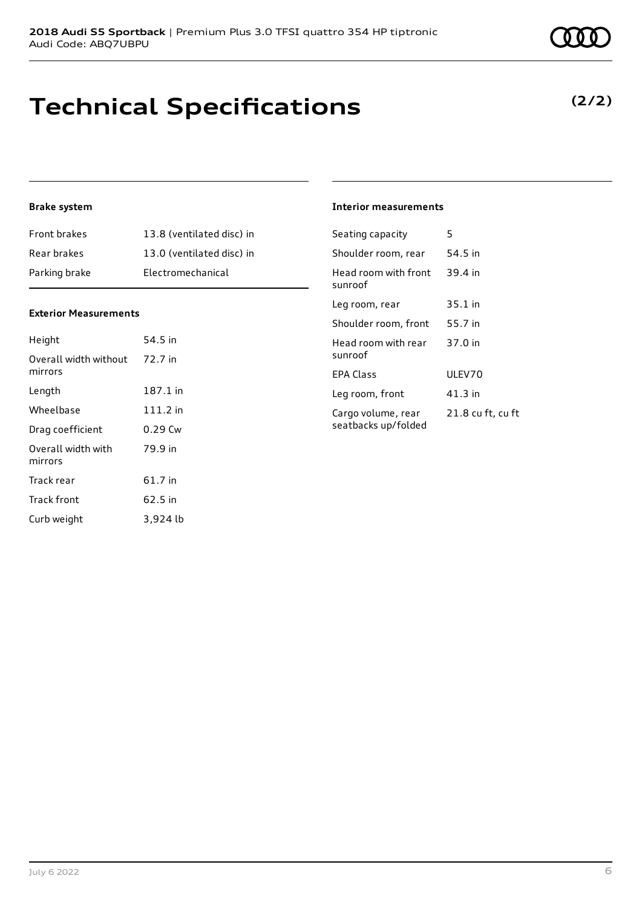# **Technical Specifications**

### **Brake system**

| <b>Front brakes</b> | 13.8 (ventilated disc) in |
|---------------------|---------------------------|
| Rear brakes         | 13.0 (ventilated disc) in |
| Parking brake       | Electromechanical         |

#### **Exterior Measurements**

| Height                           | 54.5 in    |
|----------------------------------|------------|
| Overall width without<br>mirrors | 72.7 in    |
| Length                           | 187.1 in   |
| Wheelbase                        | $111.2$ in |
| Drag coefficient                 | $0.29$ Cw  |
| Overall width with<br>mirrors    | 79.9 in    |
| Track rear                       | 61.7 in    |
| Track front                      | 62.5 in    |
| Curb weight                      | 3,924 lb   |

### **Interior measurements**

| Seating capacity                          | 5                 |
|-------------------------------------------|-------------------|
| Shoulder room, rear                       | 54.5 in           |
| Head room with front<br>sunroof           | 39.4 in           |
| Leg room, rear                            | 35.1 in           |
| Shoulder room, front                      | 55.7 in           |
| Head room with rear<br>sunroof            | 37.0 in           |
| <b>FPA Class</b>                          | ULEV70            |
| Leg room, front                           | 41.3 in           |
| Cargo volume, rear<br>seatbacks up/folded | 21.8 cu ft, cu ft |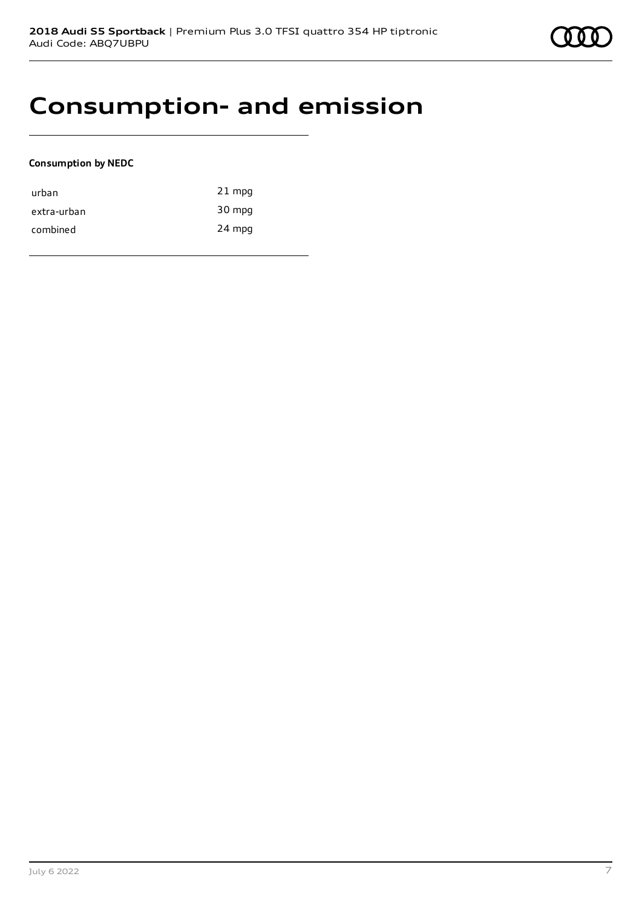## **Consumption- and emission**

### **Consumption by NEDC**

| urban       | $21$ mpg |
|-------------|----------|
| extra-urban | 30 mpg   |
| combined    | 24 mpg   |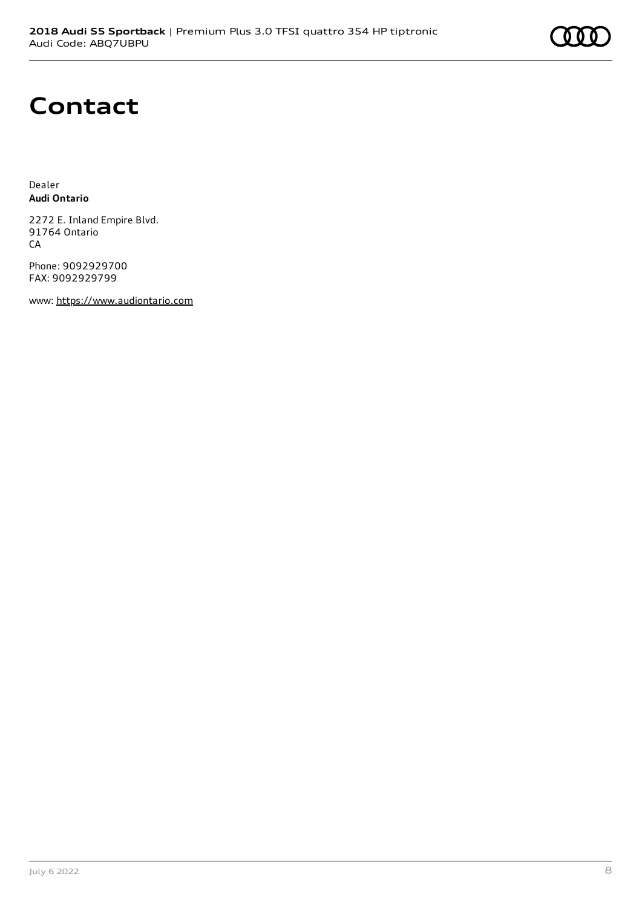# **Contact**

Dealer **Audi Ontario**

2272 E. Inland Empire Blvd. 91764 Ontario CA

Phone: 9092929700 FAX: 9092929799

www: [https://www.audiontario.com](https://www.audiontario.com/)